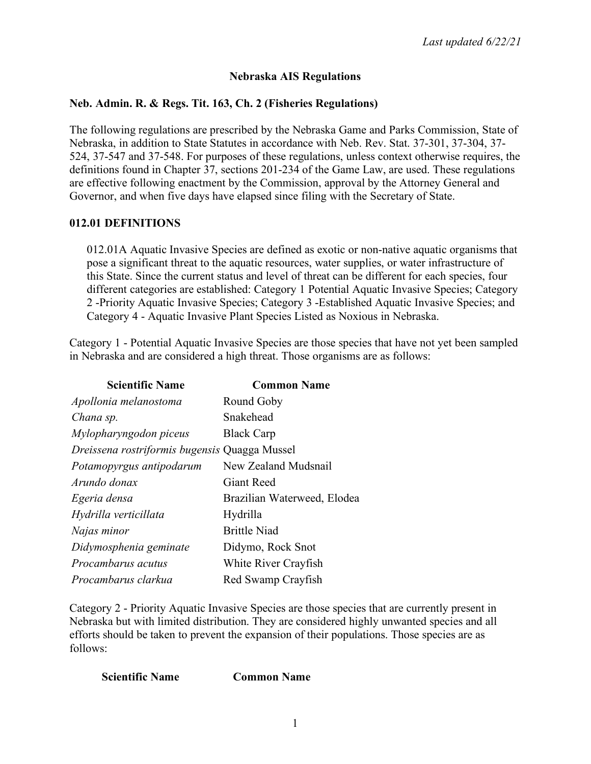# **Nebraska AIS Regulations**

### **Neb. Admin. R. & Regs. Tit. 163, Ch. 2 (Fisheries Regulations)**

The following regulations are prescribed by the Nebraska Game and Parks Commission, State of Nebraska, in addition to State Statutes in accordance with Neb. Rev. Stat. 37-301, 37-304, 37- 524, 37-547 and 37-548. For purposes of these regulations, unless context otherwise requires, the definitions found in Chapter 37, sections 201-234 of the Game Law, are used. These regulations are effective following enactment by the Commission, approval by the Attorney General and Governor, and when five days have elapsed since filing with the Secretary of State.

### **012.01 DEFINITIONS**

012.01A Aquatic Invasive Species are defined as exotic or non-native aquatic organisms that pose a significant threat to the aquatic resources, water supplies, or water infrastructure of this State. Since the current status and level of threat can be different for each species, four different categories are established: Category 1 Potential Aquatic Invasive Species; Category 2 -Priority Aquatic Invasive Species; Category 3 -Established Aquatic Invasive Species; and Category 4 - Aquatic Invasive Plant Species Listed as Noxious in Nebraska.

Category 1 - Potential Aquatic Invasive Species are those species that have not yet been sampled in Nebraska and are considered a high threat. Those organisms are as follows:

| <b>Scientific Name</b>                        | <b>Common Name</b>          |
|-----------------------------------------------|-----------------------------|
| Apollonia melanostoma                         | Round Goby                  |
| Chana sp.                                     | Snakehead                   |
| Mylopharyngodon piceus                        | <b>Black Carp</b>           |
| Dreissena rostriformis bugensis Quagga Mussel |                             |
| Potamopyrgus antipodarum                      | New Zealand Mudsnail        |
| Arundo donax                                  | <b>Giant Reed</b>           |
| Egeria densa                                  | Brazilian Waterweed, Elodea |
| Hydrilla verticillata                         | Hydrilla                    |
| Najas minor                                   | <b>Brittle Niad</b>         |
| Didymosphenia geminate                        | Didymo, Rock Snot           |
| Procambarus acutus                            | White River Crayfish        |
| Procambarus clarkua                           | Red Swamp Crayfish          |

Category 2 - Priority Aquatic Invasive Species are those species that are currently present in Nebraska but with limited distribution. They are considered highly unwanted species and all efforts should be taken to prevent the expansion of their populations. Those species are as follows:

#### **Scientific Name Common Name**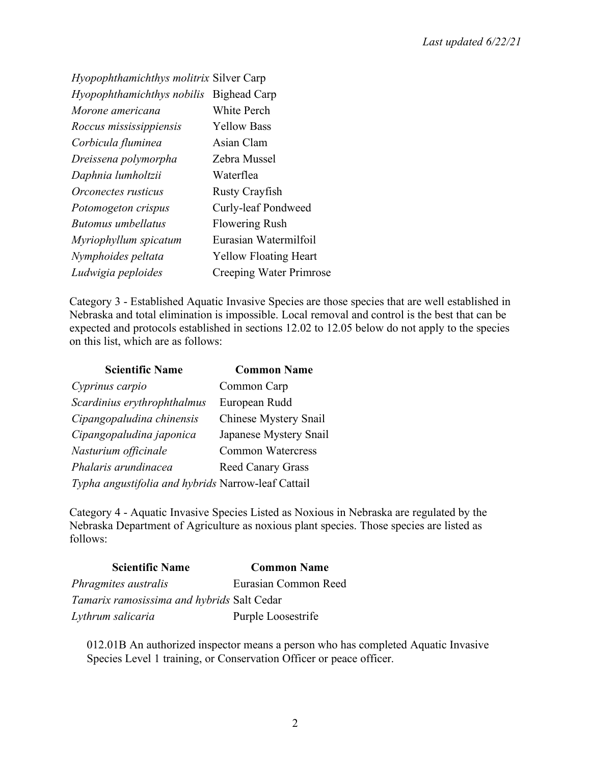| <i>Hyopophthamichthys molitrix Silver Carp</i> |
|------------------------------------------------|
| Bighead Carp                                   |
| White Perch                                    |
| <b>Yellow Bass</b>                             |
| Asian Clam                                     |
| Zebra Mussel                                   |
| Waterflea                                      |
| <b>Rusty Crayfish</b>                          |
| Curly-leaf Pondweed                            |
| <b>Flowering Rush</b>                          |
| Eurasian Watermilfoil                          |
| <b>Yellow Floating Heart</b>                   |
| Creeping Water Primrose                        |
|                                                |

Category 3 - Established Aquatic Invasive Species are those species that are well established in Nebraska and total elimination is impossible. Local removal and control is the best that can be expected and protocols established in sections 12.02 to 12.05 below do not apply to the species on this list, which are as follows:

| <b>Scientific Name</b>                             | <b>Common Name</b>           |
|----------------------------------------------------|------------------------------|
| Cyprinus carpio                                    | Common Carp                  |
| Scardinius erythrophthalmus                        | European Rudd                |
| Cipangopaludina chinensis                          | <b>Chinese Mystery Snail</b> |
| Cipangopaludina japonica                           | Japanese Mystery Snail       |
| Nasturium officinale                               | <b>Common Watercress</b>     |
| Phalaris arundinacea                               | <b>Reed Canary Grass</b>     |
| Typha angustifolia and hybrids Narrow-leaf Cattail |                              |

Category 4 - Aquatic Invasive Species Listed as Noxious in Nebraska are regulated by the Nebraska Department of Agriculture as noxious plant species. Those species are listed as follows:

| <b>Scientific Name</b>                     | <b>Common Name</b>   |
|--------------------------------------------|----------------------|
| Phragmites australis                       | Eurasian Common Reed |
| Tamarix ramosissima and hybrids Salt Cedar |                      |
| Lythrum salicaria                          | Purple Loosestrife   |

012.01B An authorized inspector means a person who has completed Aquatic Invasive Species Level 1 training, or Conservation Officer or peace officer.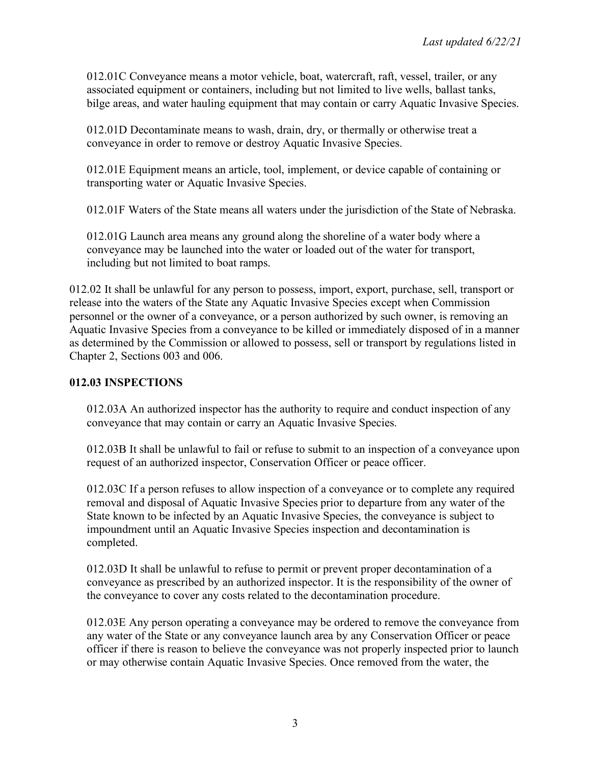012.01C Conveyance means a motor vehicle, boat, watercraft, raft, vessel, trailer, or any associated equipment or containers, including but not limited to live wells, ballast tanks, bilge areas, and water hauling equipment that may contain or carry Aquatic Invasive Species.

012.01D Decontaminate means to wash, drain, dry, or thermally or otherwise treat a conveyance in order to remove or destroy Aquatic Invasive Species.

012.01E Equipment means an article, tool, implement, or device capable of containing or transporting water or Aquatic Invasive Species.

012.01F Waters of the State means all waters under the jurisdiction of the State of Nebraska.

012.01G Launch area means any ground along the shoreline of a water body where a conveyance may be launched into the water or loaded out of the water for transport, including but not limited to boat ramps.

012.02 It shall be unlawful for any person to possess, import, export, purchase, sell, transport or release into the waters of the State any Aquatic Invasive Species except when Commission personnel or the owner of a conveyance, or a person authorized by such owner, is removing an Aquatic Invasive Species from a conveyance to be killed or immediately disposed of in a manner as determined by the Commission or allowed to possess, sell or transport by regulations listed in Chapter 2, Sections 003 and 006.

#### **012.03 INSPECTIONS**

012.03A An authorized inspector has the authority to require and conduct inspection of any conveyance that may contain or carry an Aquatic Invasive Species.

012.03B It shall be unlawful to fail or refuse to submit to an inspection of a conveyance upon request of an authorized inspector, Conservation Officer or peace officer.

012.03C If a person refuses to allow inspection of a conveyance or to complete any required removal and disposal of Aquatic Invasive Species prior to departure from any water of the State known to be infected by an Aquatic Invasive Species, the conveyance is subject to impoundment until an Aquatic Invasive Species inspection and decontamination is completed.

012.03D It shall be unlawful to refuse to permit or prevent proper decontamination of a conveyance as prescribed by an authorized inspector. It is the responsibility of the owner of the conveyance to cover any costs related to the decontamination procedure.

012.03E Any person operating a conveyance may be ordered to remove the conveyance from any water of the State or any conveyance launch area by any Conservation Officer or peace officer if there is reason to believe the conveyance was not properly inspected prior to launch or may otherwise contain Aquatic Invasive Species. Once removed from the water, the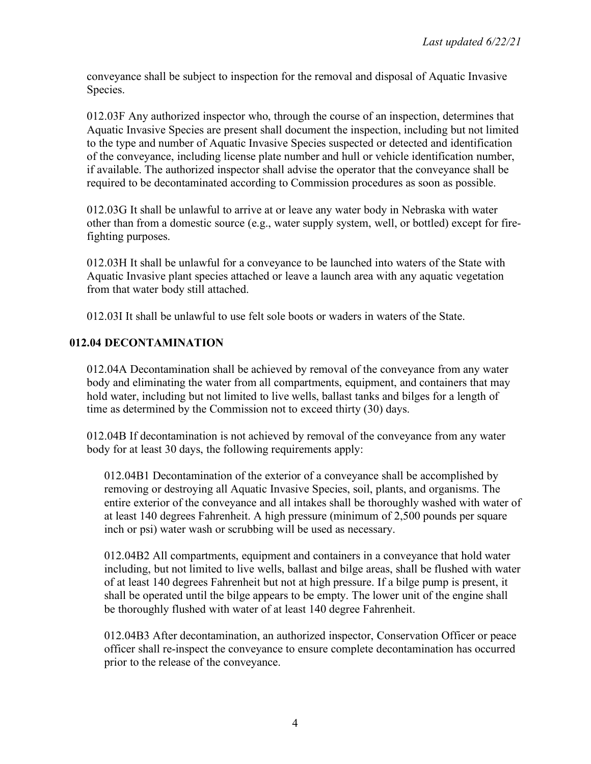conveyance shall be subject to inspection for the removal and disposal of Aquatic Invasive Species.

012.03F Any authorized inspector who, through the course of an inspection, determines that Aquatic Invasive Species are present shall document the inspection, including but not limited to the type and number of Aquatic Invasive Species suspected or detected and identification of the conveyance, including license plate number and hull or vehicle identification number, if available. The authorized inspector shall advise the operator that the conveyance shall be required to be decontaminated according to Commission procedures as soon as possible.

012.03G It shall be unlawful to arrive at or leave any water body in Nebraska with water other than from a domestic source (e.g., water supply system, well, or bottled) except for firefighting purposes.

012.03H It shall be unlawful for a conveyance to be launched into waters of the State with Aquatic Invasive plant species attached or leave a launch area with any aquatic vegetation from that water body still attached.

012.03I It shall be unlawful to use felt sole boots or waders in waters of the State.

### **012.04 DECONTAMINATION**

012.04A Decontamination shall be achieved by removal of the conveyance from any water body and eliminating the water from all compartments, equipment, and containers that may hold water, including but not limited to live wells, ballast tanks and bilges for a length of time as determined by the Commission not to exceed thirty (30) days.

012.04B If decontamination is not achieved by removal of the conveyance from any water body for at least 30 days, the following requirements apply:

012.04B1 Decontamination of the exterior of a conveyance shall be accomplished by removing or destroying all Aquatic Invasive Species, soil, plants, and organisms. The entire exterior of the conveyance and all intakes shall be thoroughly washed with water of at least 140 degrees Fahrenheit. A high pressure (minimum of 2,500 pounds per square inch or psi) water wash or scrubbing will be used as necessary.

012.04B2 All compartments, equipment and containers in a conveyance that hold water including, but not limited to live wells, ballast and bilge areas, shall be flushed with water of at least 140 degrees Fahrenheit but not at high pressure. If a bilge pump is present, it shall be operated until the bilge appears to be empty. The lower unit of the engine shall be thoroughly flushed with water of at least 140 degree Fahrenheit.

012.04B3 After decontamination, an authorized inspector, Conservation Officer or peace officer shall re-inspect the conveyance to ensure complete decontamination has occurred prior to the release of the conveyance.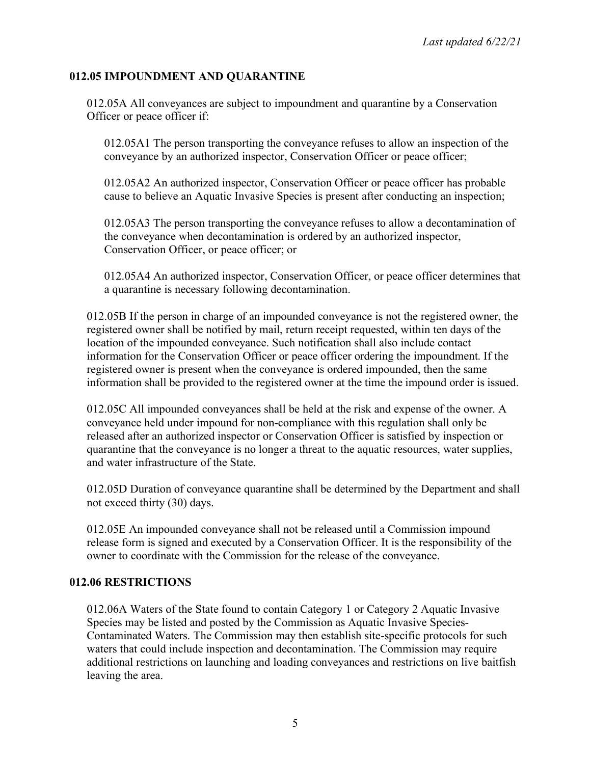### **012.05 IMPOUNDMENT AND QUARANTINE**

012.05A All conveyances are subject to impoundment and quarantine by a Conservation Officer or peace officer if:

012.05A1 The person transporting the conveyance refuses to allow an inspection of the conveyance by an authorized inspector, Conservation Officer or peace officer;

012.05A2 An authorized inspector, Conservation Officer or peace officer has probable cause to believe an Aquatic Invasive Species is present after conducting an inspection;

012.05A3 The person transporting the conveyance refuses to allow a decontamination of the conveyance when decontamination is ordered by an authorized inspector, Conservation Officer, or peace officer; or

012.05A4 An authorized inspector, Conservation Officer, or peace officer determines that a quarantine is necessary following decontamination.

012.05B If the person in charge of an impounded conveyance is not the registered owner, the registered owner shall be notified by mail, return receipt requested, within ten days of the location of the impounded conveyance. Such notification shall also include contact information for the Conservation Officer or peace officer ordering the impoundment. If the registered owner is present when the conveyance is ordered impounded, then the same information shall be provided to the registered owner at the time the impound order is issued.

012.05C All impounded conveyances shall be held at the risk and expense of the owner. A conveyance held under impound for non-compliance with this regulation shall only be released after an authorized inspector or Conservation Officer is satisfied by inspection or quarantine that the conveyance is no longer a threat to the aquatic resources, water supplies, and water infrastructure of the State.

012.05D Duration of conveyance quarantine shall be determined by the Department and shall not exceed thirty (30) days.

012.05E An impounded conveyance shall not be released until a Commission impound release form is signed and executed by a Conservation Officer. It is the responsibility of the owner to coordinate with the Commission for the release of the conveyance.

### **012.06 RESTRICTIONS**

012.06A Waters of the State found to contain Category 1 or Category 2 Aquatic Invasive Species may be listed and posted by the Commission as Aquatic Invasive Species-Contaminated Waters. The Commission may then establish site-specific protocols for such waters that could include inspection and decontamination. The Commission may require additional restrictions on launching and loading conveyances and restrictions on live baitfish leaving the area.